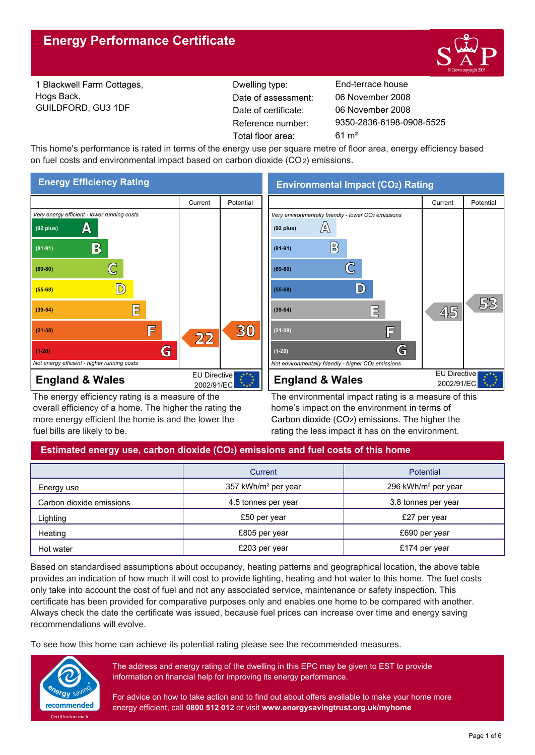

1 Blackwell Farm Cottages, Hogs Back, GUILDFORD, GU3 1DF

Reference number: Dwelling type: End-terrace house Date of certificate: Total floor area: 61 m² Date of assessment:

9350-2836-6198-0908-5525 06 November 2008 06 November 2008

This home's performance is rated in terms of the energy use per square metre of floor area, energy efficiency based on fuel costs and environmental impact based on carbon dioxide (CO2) emissions.



The energy efficiency rating is a measure of the overall efficiency of a home. The higher the rating the more energy efficient the home is and the lower the fuel bills are likely to be.

**Environmental Impact (CO2) Rating**



The environmental impact rating is a measure of this home's impact on the environment in terms of Carbon dioxide (CO2) emissions. The higher the rating the less impact it has on the environment.

# **Estimated energy use, carbon dioxide (CO2) emissions and fuel costs of this home**

|                          | Current                         | <b>Potential</b>                |
|--------------------------|---------------------------------|---------------------------------|
| Energy use               | 357 kWh/m <sup>2</sup> per year | 296 kWh/m <sup>2</sup> per year |
| Carbon dioxide emissions | 4.5 tonnes per year             | 3.8 tonnes per year             |
| Lighting                 | £50 per year                    | £27 per year                    |
| Heating                  | £805 per year                   | £690 per year                   |
| Hot water                | £203 per year                   | £174 per year                   |

Based on standardised assumptions about occupancy, heating patterns and geographical location, the above table provides an indication of how much it will cost to provide lighting, heating and hot water to this home. The fuel costs only take into account the cost of fuel and not any associated service, maintenance or safety inspection. This certificate has been provided for comparative purposes only and enables one home to be compared with another. Always check the date the certificate was issued, because fuel prices can increase over time and energy saving recommendations will evolve.

To see how this home can achieve its potential rating please see the recommended measures.



The address and energy rating of the dwelling in this EPC may be given to EST to provide information on financial help for improving its energy performance.

For advice on how to take action and to find out about offers available to make your home more energy efficient, call **0800 512 012** or visit **www.energysavingtrust.org.uk/myhome**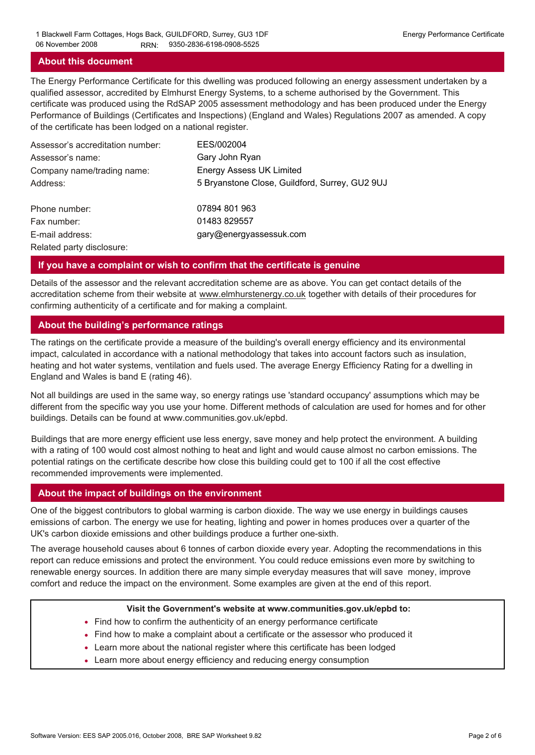## **About this document**

The Energy Performance Certificate for this dwelling was produced following an energy assessment undertaken by a qualified assessor, accredited by Elmhurst Energy Systems, to a scheme authorised by the Government. This certificate was produced using the RdSAP 2005 assessment methodology and has been produced under the Energy Performance of Buildings (Certificates and Inspections) (England and Wales) Regulations 2007 as amended. A copy of the certificate has been lodged on a national register.

| Assessor's accreditation number: | EES/002004                                     |
|----------------------------------|------------------------------------------------|
| Assessor's name:                 | Gary John Ryan                                 |
| Company name/trading name:       | <b>Energy Assess UK Limited</b>                |
| Address:                         | 5 Bryanstone Close, Guildford, Surrey, GU2 9UJ |
| Phone number:                    | 07894 801 963                                  |
| Fax number:                      | 01483 829557                                   |
| E-mail address:                  | gary@energyassessuk.com                        |
| Related party disclosure:        |                                                |

## **If you have a complaint or wish to confirm that the certificate is genuine**

Details of the assessor and the relevant accreditation scheme are as above. You can get contact details of the accreditation scheme from their website at www.elmhurstenergy.co.uk together with details of their procedures for confirming authenticity of a certificate and for making a complaint.

## **About the building's performance ratings**

The ratings on the certificate provide a measure of the building's overall energy efficiency and its environmental impact, calculated in accordance with a national methodology that takes into account factors such as insulation, heating and hot water systems, ventilation and fuels used. The average Energy Efficiency Rating for a dwelling in England and Wales is band E (rating 46).

Not all buildings are used in the same way, so energy ratings use 'standard occupancy' assumptions which may be different from the specific way you use your home. Different methods of calculation are used for homes and for other buildings. Details can be found at www.communities.gov.uk/epbd.

Buildings that are more energy efficient use less energy, save money and help protect the environment. A building with a rating of 100 would cost almost nothing to heat and light and would cause almost no carbon emissions. The potential ratings on the certificate describe how close this building could get to 100 if all the cost effective recommended improvements were implemented.

#### **About the impact of buildings on the environment**

One of the biggest contributors to global warming is carbon dioxide. The way we use energy in buildings causes emissions of carbon. The energy we use for heating, lighting and power in homes produces over a quarter of the UK's carbon dioxide emissions and other buildings produce a further one-sixth.

The average household causes about 6 tonnes of carbon dioxide every year. Adopting the recommendations in this report can reduce emissions and protect the environment. You could reduce emissions even more by switching to renewable energy sources. In addition there are many simple everyday measures that will save money, improve comfort and reduce the impact on the environment. Some examples are given at the end of this report.

#### **Visit the Government's website at www.communities.gov.uk/epbd to:**

- Find how to confirm the authenticity of an energy performance certificate
- Find how to make a complaint about a certificate or the assessor who produced it •
- Learn more about the national register where this certificate has been lodged •
- Learn more about energy efficiency and reducing energy consumption •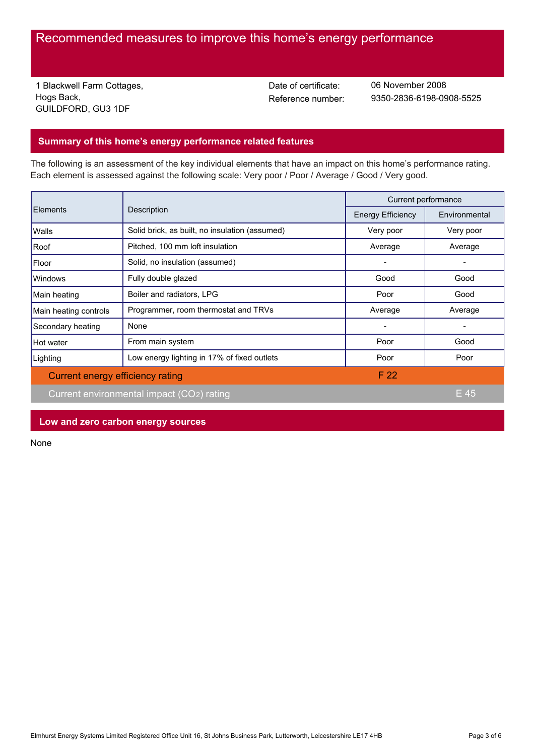# Recommended measures to improve this home's energy performance

1 Blackwell Farm Cottages, Hogs Back, GUILDFORD, GU3 1DF

Date of certificate:

Reference number: 9350-2836-6198-0908-5525 06 November 2008

# **Summary of this home's energy performance related features**

The following is an assessment of the key individual elements that have an impact on this home's performance rating. Each element is assessed against the following scale: Very poor / Poor / Average / Good / Very good.

| <b>Elements</b>                  | Description                                    | Current performance      |               |
|----------------------------------|------------------------------------------------|--------------------------|---------------|
|                                  |                                                | <b>Energy Efficiency</b> | Environmental |
| Walls                            | Solid brick, as built, no insulation (assumed) | Very poor                | Very poor     |
| Roof                             | Pitched, 100 mm loft insulation                | Average                  | Average       |
| Floor                            | Solid, no insulation (assumed)                 |                          |               |
| <b>Windows</b>                   | Fully double glazed                            | Good                     | Good          |
| Main heating                     | Boiler and radiators, LPG                      | Poor                     | Good          |
| Main heating controls            | Programmer, room thermostat and TRVs           | Average                  | Average       |
| Secondary heating                | None                                           |                          |               |
| Hot water                        | From main system                               | Poor                     | Good          |
| Lighting                         | Low energy lighting in 17% of fixed outlets    | Poor                     | Poor          |
| Current energy efficiency rating |                                                | F 22                     |               |
|                                  | Current environmental impact (CO2) rating      |                          | E 45          |

**Low and zero carbon energy sources**

None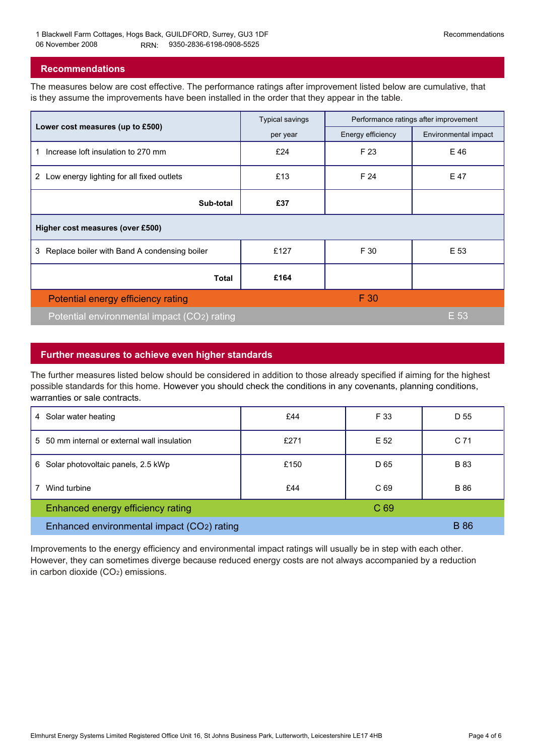## **Recommendations**

The measures below are cost effective. The performance ratings after improvement listed below are cumulative, that is they assume the improvements have been installed in the order that they appear in the table.

|                                                   | <b>Typical savings</b> | Performance ratings after improvement |                      |  |  |
|---------------------------------------------------|------------------------|---------------------------------------|----------------------|--|--|
| Lower cost measures (up to £500)                  | per year               | Energy efficiency                     | Environmental impact |  |  |
| Increase loft insulation to 270 mm<br>1.          | £24                    | F 23                                  | E 46                 |  |  |
| Low energy lighting for all fixed outlets<br>2    | £13                    | F 24                                  | E 47                 |  |  |
| Sub-total                                         | £37                    |                                       |                      |  |  |
| Higher cost measures (over £500)                  |                        |                                       |                      |  |  |
| Replace boiler with Band A condensing boiler<br>3 | £127                   | F 30                                  | E 53                 |  |  |
| <b>Total</b>                                      | £164                   |                                       |                      |  |  |
| Potential energy efficiency rating                |                        | F 30                                  |                      |  |  |
| Potential environmental impact (CO2) rating       |                        |                                       | E 53                 |  |  |

# **Further measures to achieve even higher standards**

The further measures listed below should be considered in addition to those already specified if aiming for the highest possible standards for this home. However you should check the conditions in any covenants, planning conditions, warranties or sale contracts.

| Solar water heating<br>4                        | £44  | F 33            | D 55            |
|-------------------------------------------------|------|-----------------|-----------------|
| 50 mm internal or external wall insulation<br>5 | £271 | E 52            | C <sub>71</sub> |
| Solar photovoltaic panels, 2.5 kWp<br>6         | £150 | D 65            | <b>B</b> 83     |
| Wind turbine                                    | £44  | C 69            | <b>B</b> 86     |
| Enhanced energy efficiency rating               |      | C <sub>69</sub> |                 |
| Enhanced environmental impact (CO2) rating      |      |                 | <b>B</b> 86     |

Improvements to the energy efficiency and environmental impact ratings will usually be in step with each other. However, they can sometimes diverge because reduced energy costs are not always accompanied by a reduction in carbon dioxide (CO2) emissions.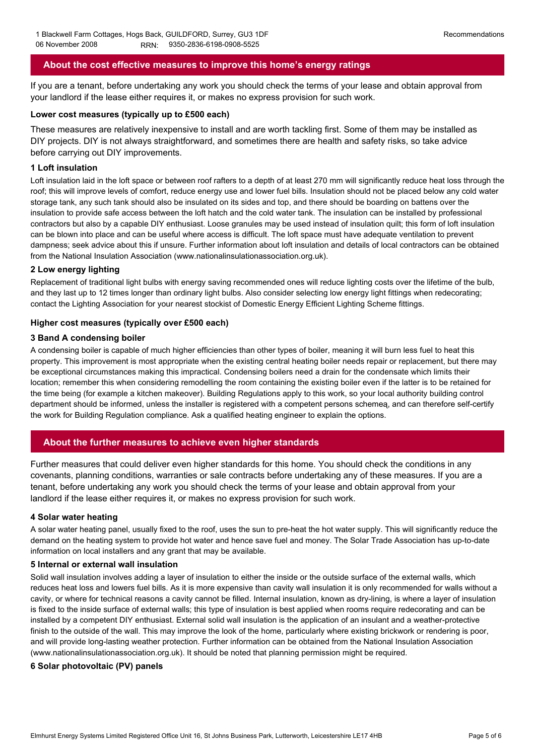# **About the cost effective measures to improve this home's energy ratings**

If you are a tenant, before undertaking any work you should check the terms of your lease and obtain approval from your landlord if the lease either requires it, or makes no express provision for such work.

#### **Lower cost measures (typically up to £500 each)**

These measures are relatively inexpensive to install and are worth tackling first. Some of them may be installed as DIY projects. DIY is not always straightforward, and sometimes there are health and safety risks, so take advice before carrying out DIY improvements.

#### **1 Loft insulation**

Loft insulation laid in the loft space or between roof rafters to a depth of at least 270 mm will significantly reduce heat loss through the roof; this will improve levels of comfort, reduce energy use and lower fuel bills. Insulation should not be placed below any cold water storage tank, any such tank should also be insulated on its sides and top, and there should be boarding on battens over the insulation to provide safe access between the loft hatch and the cold water tank. The insulation can be installed by professional contractors but also by a capable DIY enthusiast. Loose granules may be used instead of insulation quilt; this form of loft insulation can be blown into place and can be useful where access is difficult. The loft space must have adequate ventilation to prevent dampness; seek advice about this if unsure. Further information about loft insulation and details of local contractors can be obtained from the National Insulation Association (www.nationalinsulationassociation.org.uk).

#### **2 Low energy lighting**

Replacement of traditional light bulbs with energy saving recommended ones will reduce lighting costs over the lifetime of the bulb, and they last up to 12 times longer than ordinary light bulbs. Also consider selecting low energy light fittings when redecorating; contact the Lighting Association for your nearest stockist of Domestic Energy Efficient Lighting Scheme fittings.

#### **Higher cost measures (typically over £500 each)**

#### **3 Band A condensing boiler**

A condensing boiler is capable of much higher efficiencies than other types of boiler, meaning it will burn less fuel to heat this property. This improvement is most appropriate when the existing central heating boiler needs repair or replacement, but there may be exceptional circumstances making this impractical. Condensing boilers need a drain for the condensate which limits their location; remember this when considering remodelling the room containing the existing boiler even if the latter is to be retained for the time being (for example a kitchen makeover). Building Regulations apply to this work, so your local authority building control department should be informed, unless the installer is registered with a competent persons schemeą, and can therefore self-certify the work for Building Regulation compliance. Ask a qualified heating engineer to explain the options.

# **About the further measures to achieve even higher standards**

Further measures that could deliver even higher standards for this home. You should check the conditions in any covenants, planning conditions, warranties or sale contracts before undertaking any of these measures. If you are a tenant, before undertaking any work you should check the terms of your lease and obtain approval from your landlord if the lease either requires it, or makes no express provision for such work.

#### **4 Solar water heating**

A solar water heating panel, usually fixed to the roof, uses the sun to pre-heat the hot water supply. This will significantly reduce the demand on the heating system to provide hot water and hence save fuel and money. The Solar Trade Association has up-to-date information on local installers and any grant that may be available.

#### **5 Internal or external wall insulation**

Solid wall insulation involves adding a layer of insulation to either the inside or the outside surface of the external walls, which reduces heat loss and lowers fuel bills. As it is more expensive than cavity wall insulation it is only recommended for walls without a cavity, or where for technical reasons a cavity cannot be filled. Internal insulation, known as dry-lining, is where a layer of insulation is fixed to the inside surface of external walls; this type of insulation is best applied when rooms require redecorating and can be installed by a competent DIY enthusiast. External solid wall insulation is the application of an insulant and a weather-protective finish to the outside of the wall. This may improve the look of the home, particularly where existing brickwork or rendering is poor, and will provide long-lasting weather protection. Further information can be obtained from the National Insulation Association (www.nationalinsulationassociation.org.uk). It should be noted that planning permission might be required.

#### **6 Solar photovoltaic (PV) panels**